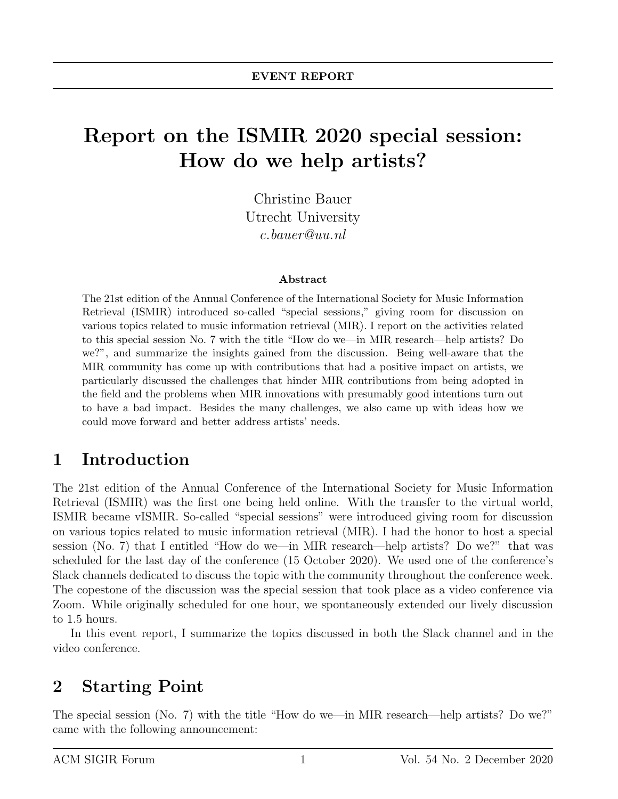# Report on the ISMIR 2020 special session: How do we help artists?

Christine Bauer Utrecht University c.bauer@uu.nl

#### Abstract

The 21st edition of the Annual Conference of the International Society for Music Information Retrieval (ISMIR) introduced so-called "special sessions," giving room for discussion on various topics related to music information retrieval (MIR). I report on the activities related to this special session No. 7 with the title "How do we—in MIR research—help artists? Do we?", and summarize the insights gained from the discussion. Being well-aware that the MIR community has come up with contributions that had a positive impact on artists, we particularly discussed the challenges that hinder MIR contributions from being adopted in the field and the problems when MIR innovations with presumably good intentions turn out to have a bad impact. Besides the many challenges, we also came up with ideas how we could move forward and better address artists' needs.

#### 1 Introduction

The 21st edition of the Annual Conference of the International Society for Music Information Retrieval (ISMIR) was the first one being held online. With the transfer to the virtual world, ISMIR became vISMIR. So-called "special sessions" were introduced giving room for discussion on various topics related to music information retrieval (MIR). I had the honor to host a special session (No. 7) that I entitled "How do we—in MIR research—help artists? Do we?" that was scheduled for the last day of the conference (15 October 2020). We used one of the conference's Slack channels dedicated to discuss the topic with the community throughout the conference week. The copestone of the discussion was the special session that took place as a video conference via Zoom. While originally scheduled for one hour, we spontaneously extended our lively discussion to 1.5 hours.

In this event report, I summarize the topics discussed in both the Slack channel and in the video conference.

#### 2 Starting Point

The special session (No. 7) with the title "How do we—in MIR research—help artists? Do we?" came with the following announcement: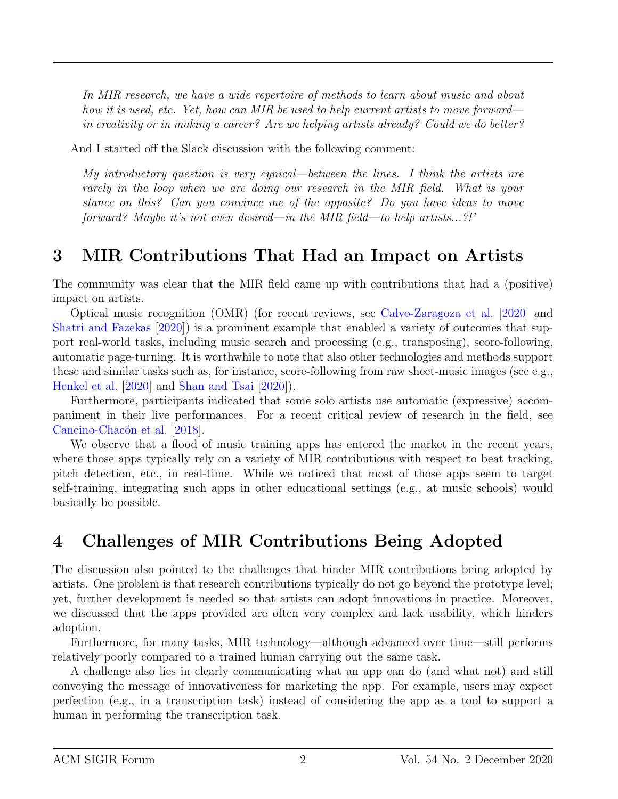In MIR research, we have a wide repertoire of methods to learn about music and about how it is used, etc. Yet, how can MIR be used to help current artists to move forward in creativity or in making a career? Are we helping artists already? Could we do better?

And I started off the Slack discussion with the following comment:

My introductory question is very cynical—between the lines. I think the artists are rarely in the loop when we are doing our research in the MIR field. What is your stance on this? Can you convince me of the opposite? Do you have ideas to move forward? Maybe it's not even desired—in the MIR field—to help artists...?!'

## 3 MIR Contributions That Had an Impact on Artists

The community was clear that the MIR field came up with contributions that had a (positive) impact on artists.

Optical music recognition (OMR) (for recent reviews, see [Calvo-Zaragoza et al.](#page-5-0) [\[2020\]](#page-5-0) and [Shatri and Fazekas](#page-6-0) [\[2020\]](#page-6-0)) is a prominent example that enabled a variety of outcomes that support real-world tasks, including music search and processing (e.g., transposing), score-following, automatic page-turning. It is worthwhile to note that also other technologies and methods support these and similar tasks such as, for instance, score-following from raw sheet-music images (see e.g., [Henkel et al.](#page-5-1) [\[2020\]](#page-5-1) and [Shan and Tsai](#page-6-1) [\[2020\]](#page-6-1)).

Furthermore, participants indicated that some solo artists use automatic (expressive) accompaniment in their live performances. For a recent critical review of research in the field, see Cancino-Chacón et al. [\[2018\]](#page-5-2).

We observe that a flood of music training apps has entered the market in the recent years, where those apps typically rely on a variety of MIR contributions with respect to beat tracking, pitch detection, etc., in real-time. While we noticed that most of those apps seem to target self-training, integrating such apps in other educational settings (e.g., at music schools) would basically be possible.

### 4 Challenges of MIR Contributions Being Adopted

The discussion also pointed to the challenges that hinder MIR contributions being adopted by artists. One problem is that research contributions typically do not go beyond the prototype level; yet, further development is needed so that artists can adopt innovations in practice. Moreover, we discussed that the apps provided are often very complex and lack usability, which hinders adoption.

Furthermore, for many tasks, MIR technology—although advanced over time—still performs relatively poorly compared to a trained human carrying out the same task.

A challenge also lies in clearly communicating what an app can do (and what not) and still conveying the message of innovativeness for marketing the app. For example, users may expect perfection (e.g., in a transcription task) instead of considering the app as a tool to support a human in performing the transcription task.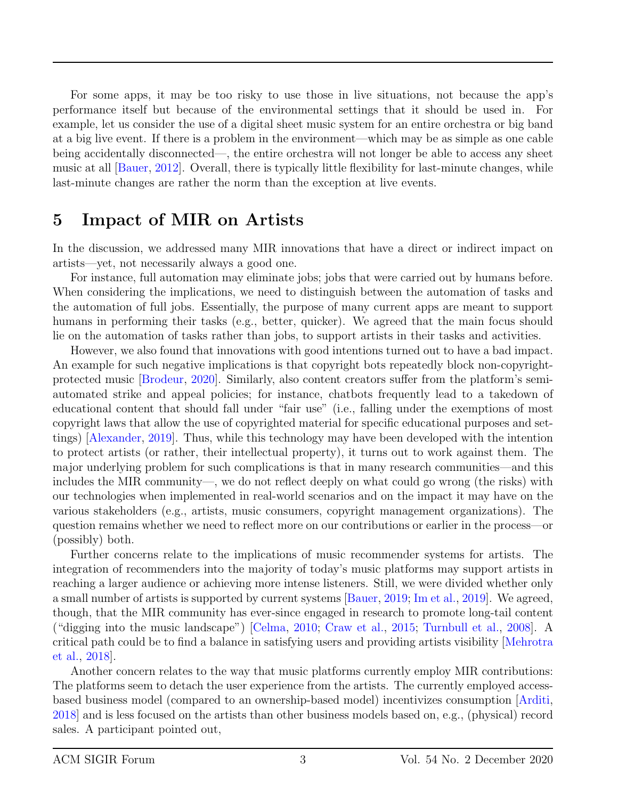For some apps, it may be too risky to use those in live situations, not because the app's performance itself but because of the environmental settings that it should be used in. For example, let us consider the use of a digital sheet music system for an entire orchestra or big band at a big live event. If there is a problem in the environment—which may be as simple as one cable being accidentally disconnected—, the entire orchestra will not longer be able to access any sheet music at all [\[Bauer,](#page-4-0) [2012\]](#page-4-0). Overall, there is typically little flexibility for last-minute changes, while last-minute changes are rather the norm than the exception at live events.

#### 5 Impact of MIR on Artists

In the discussion, we addressed many MIR innovations that have a direct or indirect impact on artists—yet, not necessarily always a good one.

For instance, full automation may eliminate jobs; jobs that were carried out by humans before. When considering the implications, we need to distinguish between the automation of tasks and the automation of full jobs. Essentially, the purpose of many current apps are meant to support humans in performing their tasks (e.g., better, quicker). We agreed that the main focus should lie on the automation of tasks rather than jobs, to support artists in their tasks and activities.

However, we also found that innovations with good intentions turned out to have a bad impact. An example for such negative implications is that copyright bots repeatedly block non-copyrightprotected music [\[Brodeur,](#page-5-3) [2020\]](#page-5-3). Similarly, also content creators suffer from the platform's semiautomated strike and appeal policies; for instance, chatbots frequently lead to a takedown of educational content that should fall under "fair use" (i.e., falling under the exemptions of most copyright laws that allow the use of copyrighted material for specific educational purposes and settings) [\[Alexander,](#page-4-1) [2019\]](#page-4-1). Thus, while this technology may have been developed with the intention to protect artists (or rather, their intellectual property), it turns out to work against them. The major underlying problem for such complications is that in many research communities—and this includes the MIR community—, we do not reflect deeply on what could go wrong (the risks) with our technologies when implemented in real-world scenarios and on the impact it may have on the various stakeholders (e.g., artists, music consumers, copyright management organizations). The question remains whether we need to reflect more on our contributions or earlier in the process—or (possibly) both.

Further concerns relate to the implications of music recommender systems for artists. The integration of recommenders into the majority of today's music platforms may support artists in reaching a larger audience or achieving more intense listeners. Still, we were divided whether only a small number of artists is supported by current systems [\[Bauer,](#page-5-4) [2019;](#page-5-4) [Im et al.,](#page-5-5) [2019\]](#page-5-5). We agreed, though, that the MIR community has ever-since engaged in research to promote long-tail content ("digging into the music landscape") [\[Celma,](#page-5-6) [2010;](#page-5-6) [Craw et al.,](#page-5-7) [2015;](#page-5-7) [Turnbull et al.,](#page-6-2) [2008\]](#page-6-2). A critical path could be to find a balance in satisfying users and providing artists visibility [\[Mehrotra](#page-6-3) [et al.,](#page-6-3) [2018\]](#page-6-3).

Another concern relates to the way that music platforms currently employ MIR contributions: The platforms seem to detach the user experience from the artists. The currently employed accessbased business model (compared to an ownership-based model) incentivizes consumption [\[Arditi,](#page-4-2) [2018\]](#page-4-2) and is less focused on the artists than other business models based on, e.g., (physical) record sales. A participant pointed out,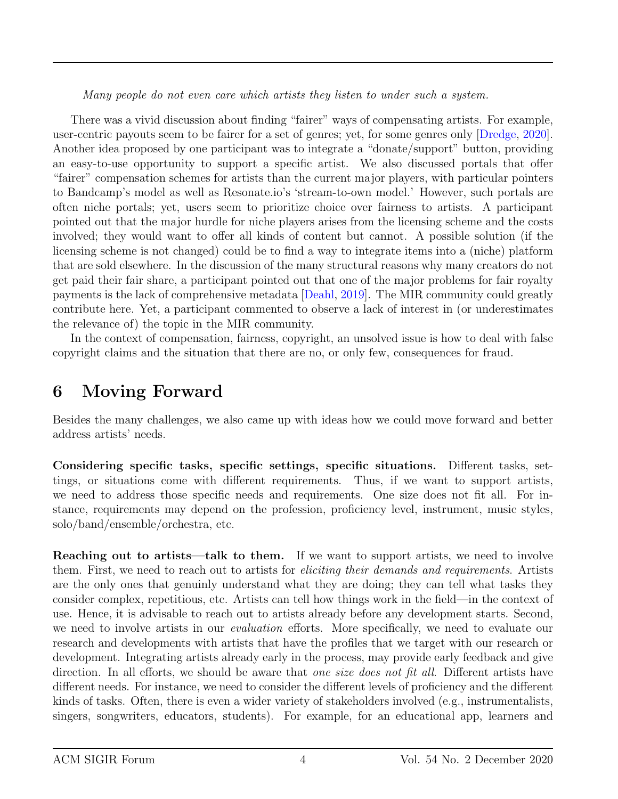Many people do not even care which artists they listen to under such a system.

There was a vivid discussion about finding "fairer" ways of compensating artists. For example, user-centric payouts seem to be fairer for a set of genres; yet, for some genres only [\[Dredge,](#page-5-8) [2020\]](#page-5-8). Another idea proposed by one participant was to integrate a "donate/support" button, providing an easy-to-use opportunity to support a specific artist. We also discussed portals that offer "fairer" compensation schemes for artists than the current major players, with particular pointers to Bandcamp's model as well as Resonate.io's 'stream-to-own model.' However, such portals are often niche portals; yet, users seem to prioritize choice over fairness to artists. A participant pointed out that the major hurdle for niche players arises from the licensing scheme and the costs involved; they would want to offer all kinds of content but cannot. A possible solution (if the licensing scheme is not changed) could be to find a way to integrate items into a (niche) platform that are sold elsewhere. In the discussion of the many structural reasons why many creators do not get paid their fair share, a participant pointed out that one of the major problems for fair royalty payments is the lack of comprehensive metadata [\[Deahl,](#page-5-9) [2019\]](#page-5-9). The MIR community could greatly contribute here. Yet, a participant commented to observe a lack of interest in (or underestimates the relevance of) the topic in the MIR community.

In the context of compensation, fairness, copyright, an unsolved issue is how to deal with false copyright claims and the situation that there are no, or only few, consequences for fraud.

# 6 Moving Forward

Besides the many challenges, we also came up with ideas how we could move forward and better address artists' needs.

Considering specific tasks, specific settings, specific situations. Different tasks, settings, or situations come with different requirements. Thus, if we want to support artists, we need to address those specific needs and requirements. One size does not fit all. For instance, requirements may depend on the profession, proficiency level, instrument, music styles, solo/band/ensemble/orchestra, etc.

Reaching out to artists—talk to them. If we want to support artists, we need to involve them. First, we need to reach out to artists for eliciting their demands and requirements. Artists are the only ones that genuinly understand what they are doing; they can tell what tasks they consider complex, repetitious, etc. Artists can tell how things work in the field—in the context of use. Hence, it is advisable to reach out to artists already before any development starts. Second, we need to involve artists in our *evaluation* efforts. More specifically, we need to evaluate our research and developments with artists that have the profiles that we target with our research or development. Integrating artists already early in the process, may provide early feedback and give direction. In all efforts, we should be aware that one size does not fit all. Different artists have different needs. For instance, we need to consider the different levels of proficiency and the different kinds of tasks. Often, there is even a wider variety of stakeholders involved (e.g., instrumentalists, singers, songwriters, educators, students). For example, for an educational app, learners and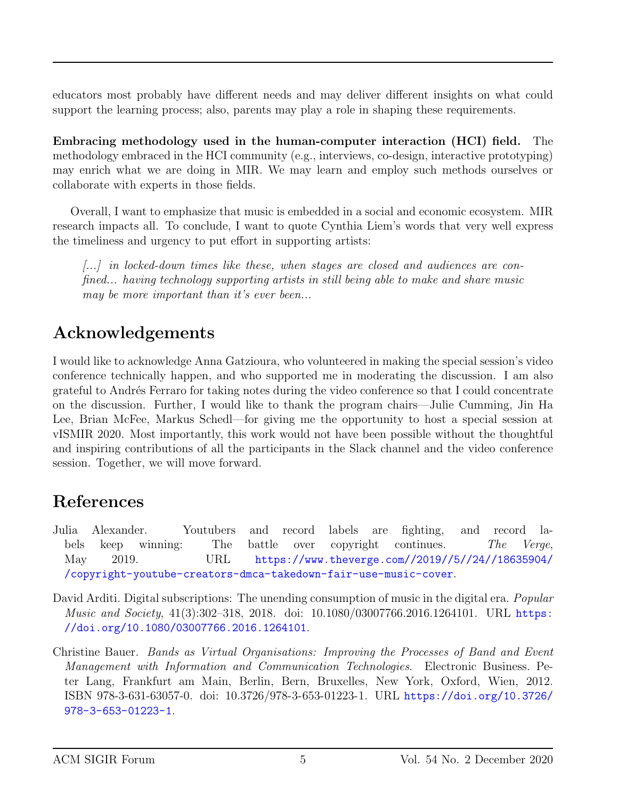educators most probably have different needs and may deliver different insights on what could support the learning process; also, parents may play a role in shaping these requirements.

Embracing methodology used in the human-computer interaction (HCI) field. The methodology embraced in the HCI community (e.g., interviews, co-design, interactive prototyping) may enrich what we are doing in MIR. We may learn and employ such methods ourselves or collaborate with experts in those fields.

Overall, I want to emphasize that music is embedded in a social and economic ecosystem. MIR research impacts all. To conclude, I want to quote Cynthia Liem's words that very well express the timeliness and urgency to put effort in supporting artists:

[...] in locked-down times like these, when stages are closed and audiences are confined... having technology supporting artists in still being able to make and share music may be more important than it's ever been...

# Acknowledgements

I would like to acknowledge Anna Gatzioura, who volunteered in making the special session's video conference technically happen, and who supported me in moderating the discussion. I am also grateful to Andrés Ferraro for taking notes during the video conference so that I could concentrate on the discussion. Further, I would like to thank the program chairs—Julie Cumming, Jin Ha Lee, Brian McFee, Markus Schedl—for giving me the opportunity to host a special session at vISMIR 2020. Most importantly, this work would not have been possible without the thoughtful and inspiring contributions of all the participants in the Slack channel and the video conference session. Together, we will move forward.

# References

- <span id="page-4-1"></span>Julia Alexander. Youtubers and record labels are fighting, and record labels keep winning: The battle over copyright continues. The Verge, May 2019. URL [https://www.theverge.com//2019//5//24//18635904/](https://www.theverge.com//2019//5//24//18635904//copyright-youtube-creators-dmca-takedown-fair-use-music-cover) [/copyright-youtube-creators-dmca-takedown-fair-use-music-cover](https://www.theverge.com//2019//5//24//18635904//copyright-youtube-creators-dmca-takedown-fair-use-music-cover).
- <span id="page-4-2"></span>David Arditi. Digital subscriptions: The unending consumption of music in the digital era. *Popular* Music and Society, 41(3):302-318, 2018. doi: 10.1080/03007766.2016.1264101. URL [https:](https://doi.org/10.1080/03007766.2016.1264101) [//doi.org/10.1080/03007766.2016.1264101](https://doi.org/10.1080/03007766.2016.1264101).
- <span id="page-4-0"></span>Christine Bauer. Bands as Virtual Organisations: Improving the Processes of Band and Event Management with Information and Communication Technologies. Electronic Business. Peter Lang, Frankfurt am Main, Berlin, Bern, Bruxelles, New York, Oxford, Wien, 2012. ISBN 978-3-631-63057-0. doi: 10.3726/978-3-653-01223-1. URL [https://doi.org/10.3726/](https://doi.org/10.3726/978-3-653-01223-1) [978-3-653-01223-1](https://doi.org/10.3726/978-3-653-01223-1).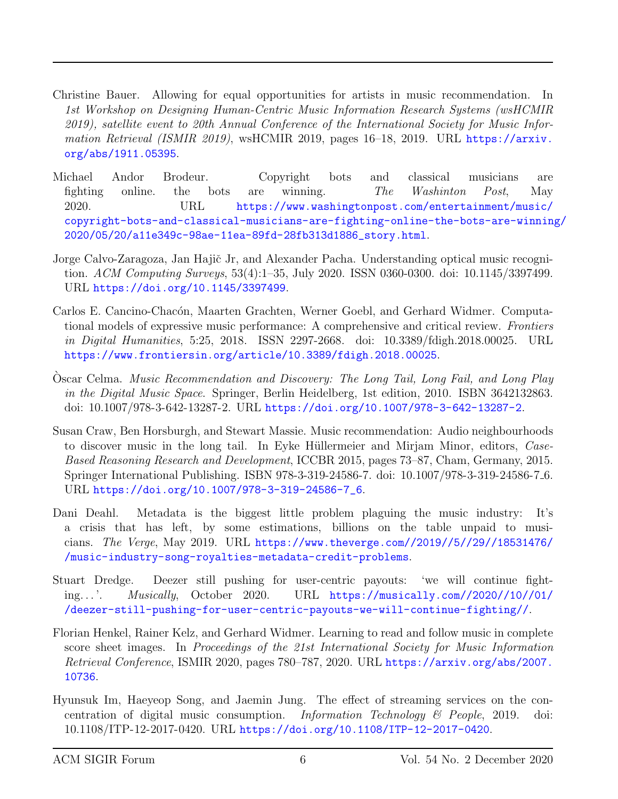- <span id="page-5-4"></span>Christine Bauer. Allowing for equal opportunities for artists in music recommendation. In 1st Workshop on Designing Human-Centric Music Information Research Systems (wsHCMIR 2019), satellite event to 20th Annual Conference of the International Society for Music Information Retrieval (ISMIR 2019), wsHCMIR 2019, pages 16–18, 2019. URL [https://arxiv.](https://arxiv.org/abs/1911.05395) [org/abs/1911.05395](https://arxiv.org/abs/1911.05395).
- <span id="page-5-3"></span>Michael Andor Brodeur. Copyright bots and classical musicians are fighting online. the bots are winning. The Washinton Post, May 2020. URL [https://www.washingtonpost.com/entertainment/music/](https://www.washingtonpost.com/entertainment/music/copyright-bots-and-classical-musicians-are-fighting-online-the-bots-are-winning/2020/05/20/a11e349c-98ae-11ea-89fd-28fb313d1886_story.html) [copyright-bots-and-classical-musicians-are-fighting-online-the-bots-are-winning](https://www.washingtonpost.com/entertainment/music/copyright-bots-and-classical-musicians-are-fighting-online-the-bots-are-winning/2020/05/20/a11e349c-98ae-11ea-89fd-28fb313d1886_story.html)/ [2020/05/20/a11e349c-98ae-11ea-89fd-28fb313d1886\\_story.html](https://www.washingtonpost.com/entertainment/music/copyright-bots-and-classical-musicians-are-fighting-online-the-bots-are-winning/2020/05/20/a11e349c-98ae-11ea-89fd-28fb313d1886_story.html).
- <span id="page-5-0"></span>Jorge Calvo-Zaragoza, Jan Hajič Jr, and Alexander Pacha. Understanding optical music recognition. ACM Computing Surveys, 53(4):1–35, July 2020. ISSN 0360-0300. doi: 10.1145/3397499. URL <https://doi.org/10.1145/3397499>.
- <span id="page-5-2"></span>Carlos E. Cancino-Chacón, Maarten Grachten, Werner Goebl, and Gerhard Widmer. Computational models of expressive music performance: A comprehensive and critical review. Frontiers in Digital Humanities, 5:25, 2018. ISSN 2297-2668. doi: 10.3389/fdigh.2018.00025. URL <https://www.frontiersin.org/article/10.3389/fdigh.2018.00025>.
- <span id="page-5-6"></span>Oscar Celma. Music Recommendation and Discovery: The Long Tail, Long Fail, and Long Play in the Digital Music Space. Springer, Berlin Heidelberg, 1st edition, 2010. ISBN 3642132863. doi: 10.1007/978-3-642-13287-2. URL <https://doi.org/10.1007/978-3-642-13287-2>.
- <span id="page-5-7"></span>Susan Craw, Ben Horsburgh, and Stewart Massie. Music recommendation: Audio neighbourhoods to discover music in the long tail. In Eyke Hüllermeier and Mirjam Minor, editors, Case-Based Reasoning Research and Development, ICCBR 2015, pages 73–87, Cham, Germany, 2015. Springer International Publishing. ISBN 978-3-319-24586-7. doi: 10.1007/978-3-319-24586-7 6. URL [https://doi.org/10.1007/978-3-319-24586-7\\_6](https://doi.org/10.1007/978-3-319-24586-7_6).
- <span id="page-5-9"></span>Dani Deahl. Metadata is the biggest little problem plaguing the music industry: It's a crisis that has left, by some estimations, billions on the table unpaid to musicians. The Verge, May 2019. URL [https://www.theverge.com//2019//5//29//18531476/](https://www.theverge.com//2019//5//29//18531476//music-industry-song-royalties-metadata-credit-problems) [/music-industry-song-royalties-metadata-credit-problems](https://www.theverge.com//2019//5//29//18531476//music-industry-song-royalties-metadata-credit-problems).
- <span id="page-5-8"></span>Stuart Dredge. Deezer still pushing for user-centric payouts: 'we will continue fighting. . . '. Musically, October 2020. URL [https://musically.com//2020//10//01/](https://musically.com//2020//10//01//deezer-still-pushing-for-user-centric-payouts-we-will-continue-fighting//) [/deezer-still-pushing-for-user-centric-payouts-we-will-continue-fighting//](https://musically.com//2020//10//01//deezer-still-pushing-for-user-centric-payouts-we-will-continue-fighting//).
- <span id="page-5-1"></span>Florian Henkel, Rainer Kelz, and Gerhard Widmer. Learning to read and follow music in complete score sheet images. In Proceedings of the 21st International Society for Music Information Retrieval Conference, ISMIR 2020, pages 780–787, 2020. URL [https://arxiv.org/abs/2007.](https://arxiv.org/abs/2007.10736) [10736](https://arxiv.org/abs/2007.10736).
- <span id="page-5-5"></span>Hyunsuk Im, Haeyeop Song, and Jaemin Jung. The effect of streaming services on the concentration of digital music consumption. Information Technology & People, 2019. doi: 10.1108/ITP-12-2017-0420. URL <https://doi.org/10.1108/ITP-12-2017-0420>.